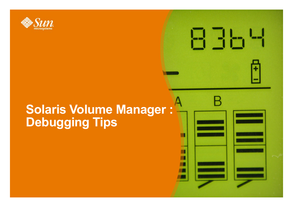

### **Solaris Volume Manager : Debugging Tips**

日日日出

п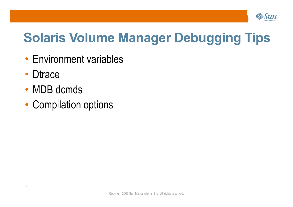

## **Solaris Volume Manager Debugging Tips**

- Environment variables
- Dtrace

- MDB dcmds
- Compilation options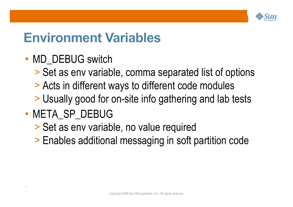

### **Environment Variables**

- MD DEBUG switch
	- > Set as env variable, comma separated list of options
	- > Acts in different ways to different code modules
	- > Usually good for on-site info gathering and lab tests
- META SP DEBUG

- > Set as env variable, no value required
- > Enables additional messaging in soft partition code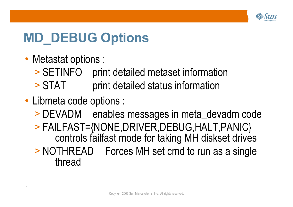

# **MD\_DEBUG Options**

• Metastat options :

- > SETINFO print detailed metaset information
- > STAT print detailed status information
- Libmeta code options :
	- > DEVADM enables messages in meta\_devadm code
	- > FAILFAST={NONE,DRIVER,DEBUG,HALT,PANIC} controls failfast mode for taking MH diskset drives
	- > NOTHREAD Forces MH set cmd to run as a single thread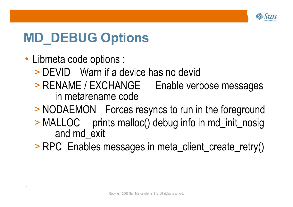

# **MD\_DEBUG Options**

• Libmeta code options :

- > DEVID Warn if a device has no devid
- > RENAME / EXCHANGE Enable verbose messages in metarename code
- > NODAEMON Forces resyncs to run in the foreground
- > MALLOC prints malloc() debug info in md\_init\_nosig and md\_exit
- > RPC Enables messages in meta\_client\_create\_retry()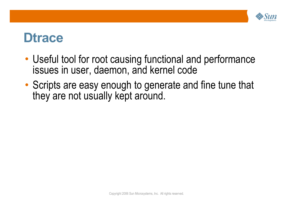

#### **Dtrace**

- Useful tool for root causing functional and performance issues in user, daemon, and kernel code
- Scripts are easy enough to generate and fine tune that they are not usually kept around.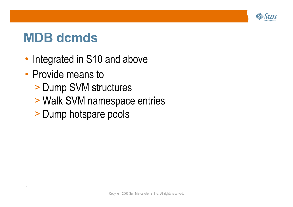

## **MDB dcmds**

- Integrated in S10 and above
- Provide means to

- > Dump SVM structures
- > Walk SVM namespace entries
- > Dump hotspare pools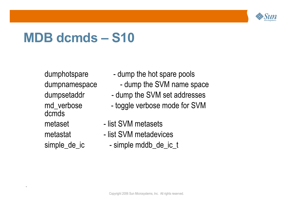

## **MDB dcmds – S10**

dcmds

- dumphotspare dump the hot spare pools
- dumpnamespace dump the SVM name space
- dumpsetaddr dump the SVM set addresses
- md\_verbose toggle verbose mode for SVM
- metaset list SVM metasets
- metastat list SVM metadevices
- simple\_de\_ic simple mddb\_de\_ic\_t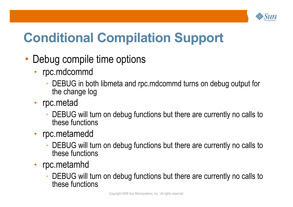

# **Conditional Compilation Support**

- Debug compile time options
	- rpc.mdcommd
		- ➢ DEBUG in both libmeta and rpc.mdcommd turns on debug output for the change log
	- rpc.metad
		- ➢ DEBUG will turn on debug functions but there are currently no calls to these functions
	- rpc.metamedd
		- ➢ DEBUG will turn on debug functions but there are currently no calls to these functions
	- rpc.metamhd
		- ➢ DEBUG will turn on debug functions but there are currently no calls to these functions